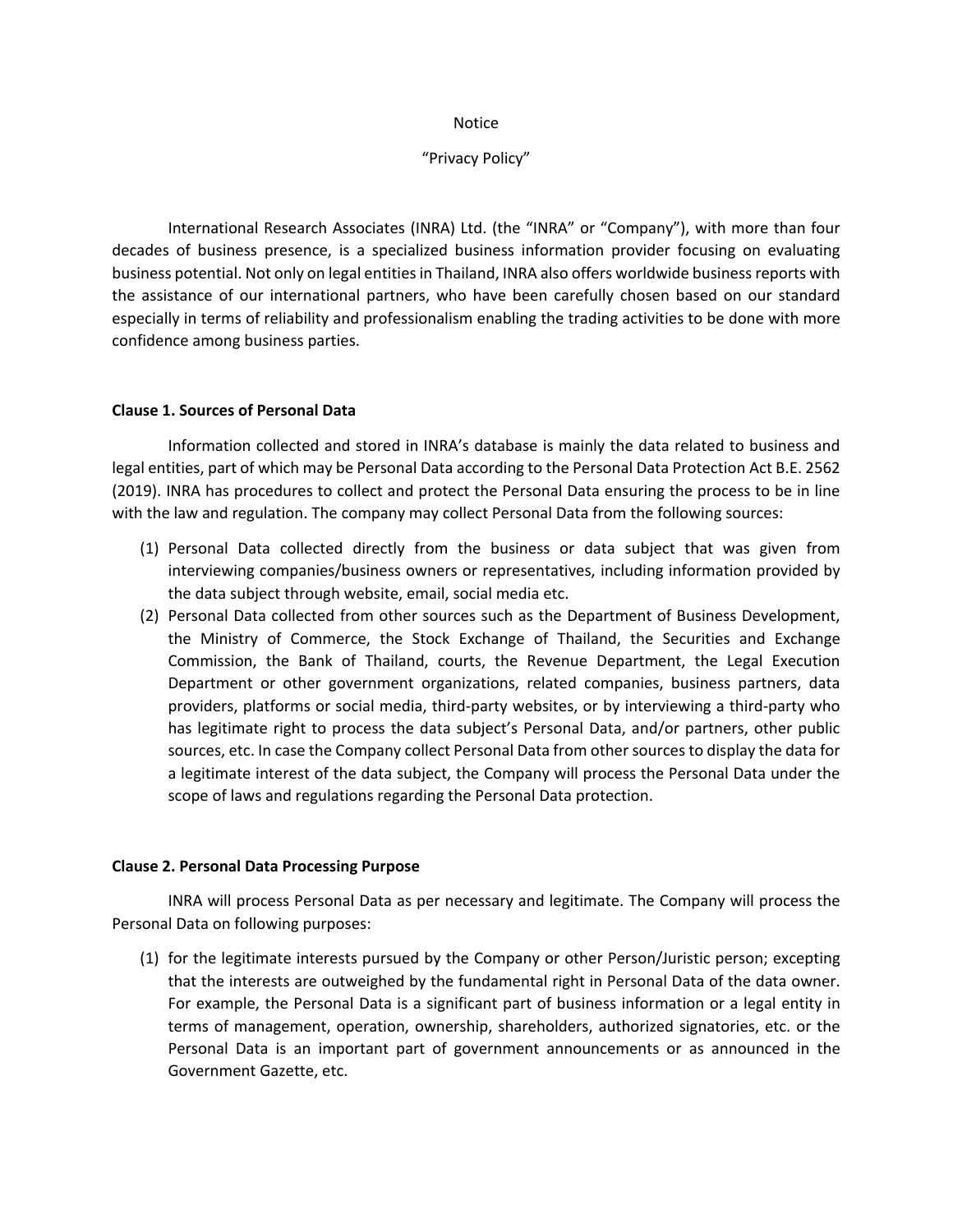#### Notice

#### "Privacy Policy"

International Research Associates (INRA) Ltd. (the "INRA" or "Company"), with more than four decades of business presence, is a specialized business information provider focusing on evaluating business potential. Not only on legal entities in Thailand, INRA also offers worldwide business reports with the assistance of our international partners, who have been carefully chosen based on our standard especially in terms of reliability and professionalism enabling the trading activities to be done with more confidence among business parties.

## **Clause 1. Sources of Personal Data**

Information collected and stored in INRA's database is mainly the data related to business and legal entities, part of which may be Personal Data according to the Personal Data Protection Act B.E. 2562 (2019). INRA has procedures to collect and protect the Personal Data ensuring the process to be in line with the law and regulation. The company may collect Personal Data from the following sources:

- (1) Personal Data collected directly from the business or data subject that was given from interviewing companies/business owners or representatives, including information provided by the data subject through website, email, social media etc.
- (2) Personal Data collected from other sources such as the Department of Business Development, the Ministry of Commerce, the Stock Exchange of Thailand, the Securities and Exchange Commission, the Bank of Thailand, courts, the Revenue Department, the Legal Execution Department or other government organizations, related companies, business partners, data providers, platforms or social media, third-party websites, or by interviewing a third-party who has legitimate right to process the data subject's Personal Data, and/or partners, other public sources, etc. In case the Company collect Personal Data from other sources to display the data for a legitimate interest of the data subject, the Company will process the Personal Data under the scope of laws and regulations regarding the Personal Data protection.

### **Clause 2. Personal Data Processing Purpose**

INRA will process Personal Data as per necessary and legitimate. The Company will process the Personal Data on following purposes:

(1) for the legitimate interests pursued by the Company or other Person/Juristic person; excepting that the interests are outweighed by the fundamental right in Personal Data of the data owner. For example, the Personal Data is a significant part of business information or a legal entity in terms of management, operation, ownership, shareholders, authorized signatories, etc. or the Personal Data is an important part of government announcements or as announced in the Government Gazette, etc.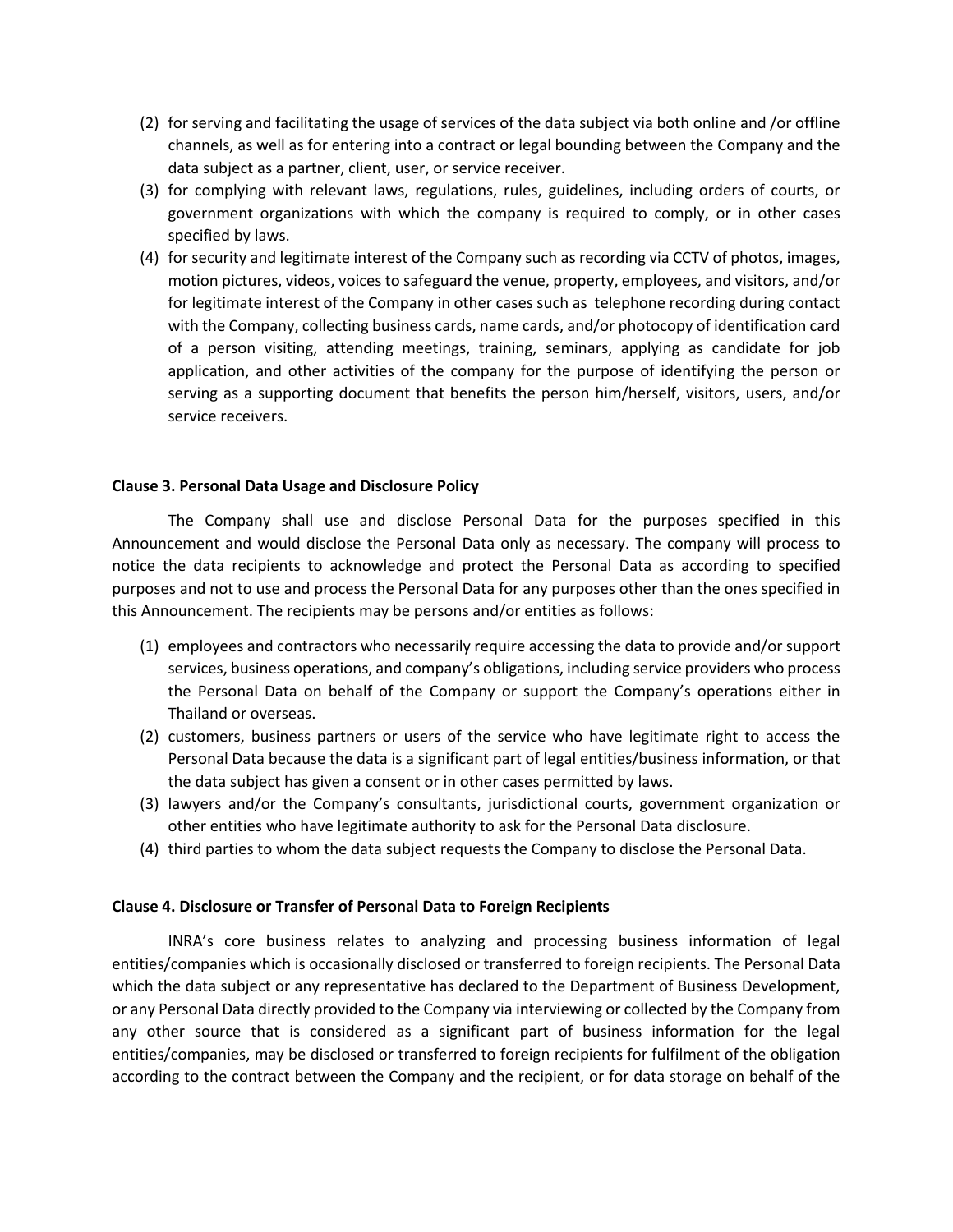- (2) for serving and facilitating the usage of services of the data subject via both online and /or offline channels, as well as for entering into a contract or legal bounding between the Company and the data subject as a partner, client, user, or service receiver.
- (3) for complying with relevant laws, regulations, rules, guidelines, including orders of courts, or government organizations with which the company is required to comply, or in other cases specified by laws.
- (4) for security and legitimate interest of the Company such as recording via CCTV of photos, images, motion pictures, videos, voices to safeguard the venue, property, employees, and visitors, and/or for legitimate interest of the Company in other cases such as telephone recording during contact with the Company, collecting business cards, name cards, and/or photocopy of identification card of a person visiting, attending meetings, training, seminars, applying as candidate for job application, and other activities of the company for the purpose of identifying the person or serving as a supporting document that benefits the person him/herself, visitors, users, and/or service receivers.

## **Clause 3. Personal Data Usage and Disclosure Policy**

The Company shall use and disclose Personal Data for the purposes specified in this Announcement and would disclose the Personal Data only as necessary. The company will process to notice the data recipients to acknowledge and protect the Personal Data as according to specified purposes and not to use and process the Personal Data for any purposes other than the ones specified in this Announcement. The recipients may be persons and/or entities as follows:

- (1) employees and contractors who necessarily require accessing the data to provide and/or support services, business operations, and company's obligations, including service providers who process the Personal Data on behalf of the Company or support the Company's operations either in Thailand or overseas.
- (2) customers, business partners or users of the service who have legitimate right to access the Personal Data because the data is a significant part of legal entities/business information, or that the data subject has given a consent or in other cases permitted by laws.
- (3) lawyers and/or the Company's consultants, jurisdictional courts, government organization or other entities who have legitimate authority to ask for the Personal Data disclosure.
- (4) third parties to whom the data subject requests the Company to disclose the Personal Data.

# **Clause 4. Disclosure or Transfer of Personal Data to Foreign Recipients**

INRA's core business relates to analyzing and processing business information of legal entities/companies which is occasionally disclosed or transferred to foreign recipients. The Personal Data which the data subject or any representative has declared to the Department of Business Development, or any Personal Data directly provided to the Company via interviewing or collected by the Company from any other source that is considered as a significant part of business information for the legal entities/companies, may be disclosed or transferred to foreign recipients for fulfilment of the obligation according to the contract between the Company and the recipient, or for data storage on behalf of the